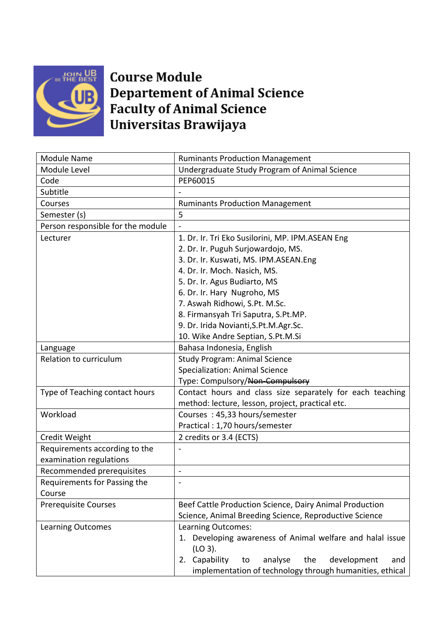

## **Course Module Departement of Animal Science Faculty of Animal Science** Universitas Brawijaya

| <b>Module Name</b>                | <b>Ruminants Production Management</b>                      |
|-----------------------------------|-------------------------------------------------------------|
| Module Level                      | Undergraduate Study Program of Animal Science               |
| Code                              | PEP60015                                                    |
| Subtitle                          |                                                             |
| Courses                           | <b>Ruminants Production Management</b>                      |
| Semester (s)                      | 5                                                           |
| Person responsible for the module |                                                             |
| Lecturer                          | 1. Dr. Ir. Tri Eko Susilorini, MP. IPM.ASEAN Eng            |
|                                   | 2. Dr. Ir. Puguh Surjowardojo, MS.                          |
|                                   | 3. Dr. Ir. Kuswati, MS. IPM.ASEAN.Eng                       |
|                                   | 4. Dr. Ir. Moch. Nasich, MS.                                |
|                                   | 5. Dr. Ir. Agus Budiarto, MS                                |
|                                   | 6. Dr. Ir. Hary Nugroho, MS                                 |
|                                   | 7. Aswah Ridhowi, S.Pt. M.Sc.                               |
|                                   | 8. Firmansyah Tri Saputra, S.Pt.MP.                         |
|                                   | 9. Dr. Irida Novianti, S.Pt.M. Agr. Sc.                     |
|                                   | 10. Wike Andre Septian, S.Pt.M.Si                           |
| Language                          | Bahasa Indonesia, English                                   |
| Relation to curriculum            | <b>Study Program: Animal Science</b>                        |
|                                   | <b>Specialization: Animal Science</b>                       |
|                                   | Type: Compulsory/Non-Compulsory                             |
| Type of Teaching contact hours    | Contact hours and class size separately for each teaching   |
|                                   | method: lecture, lesson, project, practical etc.            |
| Workload                          | Courses: 45,33 hours/semester                               |
|                                   | Practical: 1,70 hours/semester                              |
| Credit Weight                     | 2 credits or 3.4 (ECTS)                                     |
| Requirements according to the     |                                                             |
| examination regulations           |                                                             |
| Recommended prerequisites         | $\blacksquare$                                              |
| Requirements for Passing the      | $\overline{a}$                                              |
| Course                            |                                                             |
| <b>Prerequisite Courses</b>       | Beef Cattle Production Science, Dairy Animal Production     |
|                                   | Science, Animal Breeding Science, Reproductive Science      |
| <b>Learning Outcomes</b>          | Learning Outcomes:                                          |
|                                   | 1. Developing awareness of Animal welfare and halal issue   |
|                                   | (LO 3).                                                     |
|                                   | 2. Capability<br>the<br>development<br>analyse<br>to<br>and |
|                                   | implementation of technology through humanities, ethical    |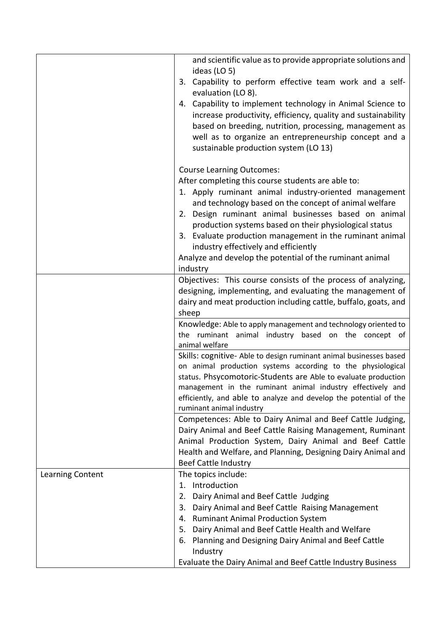|                  | and scientific value as to provide appropriate solutions and<br>ideas (LO 5)                                                                                                                                                                                                                                                                                                                                                                                                                           |
|------------------|--------------------------------------------------------------------------------------------------------------------------------------------------------------------------------------------------------------------------------------------------------------------------------------------------------------------------------------------------------------------------------------------------------------------------------------------------------------------------------------------------------|
|                  | 3. Capability to perform effective team work and a self-<br>evaluation (LO 8).                                                                                                                                                                                                                                                                                                                                                                                                                         |
|                  | 4. Capability to implement technology in Animal Science to<br>increase productivity, efficiency, quality and sustainability<br>based on breeding, nutrition, processing, management as<br>well as to organize an entrepreneurship concept and a<br>sustainable production system (LO 13)                                                                                                                                                                                                               |
|                  | <b>Course Learning Outcomes:</b><br>After completing this course students are able to:<br>1. Apply ruminant animal industry-oriented management<br>and technology based on the concept of animal welfare<br>2. Design ruminant animal businesses based on animal<br>production systems based on their physiological status<br>3. Evaluate production management in the ruminant animal<br>industry effectively and efficiently<br>Analyze and develop the potential of the ruminant animal<br>industry |
|                  | Objectives: This course consists of the process of analyzing,<br>designing, implementing, and evaluating the management of<br>dairy and meat production including cattle, buffalo, goats, and<br>sheep                                                                                                                                                                                                                                                                                                 |
|                  | Knowledge: Able to apply management and technology oriented to<br>the ruminant animal industry based on the concept of<br>animal welfare                                                                                                                                                                                                                                                                                                                                                               |
|                  | Skills: cognitive- Able to design ruminant animal businesses based<br>on animal production systems according to the physiological<br>status. Phsycomotoric-Students are Able to evaluate production<br>management in the ruminant animal industry effectively and<br>efficiently, and able to analyze and develop the potential of the<br>ruminant animal industry                                                                                                                                     |
|                  | Competences: Able to Dairy Animal and Beef Cattle Judging,<br>Dairy Animal and Beef Cattle Raising Management, Ruminant<br>Animal Production System, Dairy Animal and Beef Cattle<br>Health and Welfare, and Planning, Designing Dairy Animal and<br><b>Beef Cattle Industry</b>                                                                                                                                                                                                                       |
| Learning Content | The topics include:<br>1. Introduction<br>Dairy Animal and Beef Cattle Judging<br>2.<br>Dairy Animal and Beef Cattle Raising Management<br>3.<br>4. Ruminant Animal Production System<br>Dairy Animal and Beef Cattle Health and Welfare<br>5.<br>6. Planning and Designing Dairy Animal and Beef Cattle<br>Industry                                                                                                                                                                                   |
|                  | Evaluate the Dairy Animal and Beef Cattle Industry Business                                                                                                                                                                                                                                                                                                                                                                                                                                            |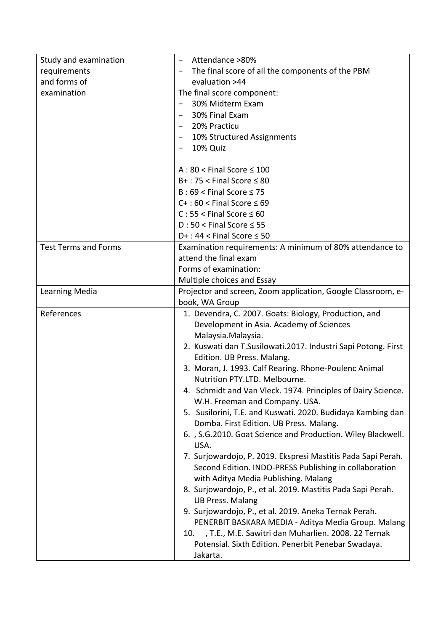| Study and examination       | Attendance >80%                                                 |
|-----------------------------|-----------------------------------------------------------------|
| requirements                | The final score of all the components of the PBM                |
| and forms of                | evaluation >44                                                  |
| examination                 | The final score component:                                      |
|                             | 30% Midterm Exam                                                |
|                             | 30% Final Exam                                                  |
|                             | 20% Practicu                                                    |
|                             | 10% Structured Assignments                                      |
|                             | 10% Quiz                                                        |
|                             |                                                                 |
|                             | $A:80 <$ Final Score $\leq 100$                                 |
|                             | $B+$ : 75 < Final Score $\leq 80$                               |
|                             | $B:69 <$ Final Score $\leq 75$                                  |
|                             | $C+$ : 60 < Final Score $\leq 69$                               |
|                             | $C: 55 <$ Final Score $\leq 60$                                 |
|                             | $D:50 <$ Final Score $\leq 55$                                  |
|                             | $D+$ : 44 < Final Score $\leq$ 50                               |
| <b>Test Terms and Forms</b> | Examination requirements: A minimum of 80% attendance to        |
|                             | attend the final exam                                           |
|                             | Forms of examination:                                           |
|                             | Multiple choices and Essay                                      |
| Learning Media              | Projector and screen, Zoom application, Google Classroom, e-    |
|                             | book, WA Group                                                  |
|                             |                                                                 |
| References                  | 1. Devendra, C. 2007. Goats: Biology, Production, and           |
|                             | Development in Asia. Academy of Sciences                        |
|                             | Malaysia. Malaysia.                                             |
|                             | 2. Kuswati dan T.Susilowati.2017. Industri Sapi Potong. First   |
|                             | Edition. UB Press. Malang.                                      |
|                             | 3. Moran, J. 1993. Calf Rearing. Rhone-Poulenc Animal           |
|                             | Nutrition PTY.LTD. Melbourne.                                   |
|                             | 4. Schmidt and Van Vleck. 1974. Principles of Dairy Science.    |
|                             | W.H. Freeman and Company. USA.                                  |
|                             | 5. Susilorini, T.E. and Kuswati. 2020. Budidaya Kambing dan     |
|                             | Domba. First Edition. UB Press. Malang.                         |
|                             | 6., S.G.2010. Goat Science and Production. Wiley Blackwell.     |
|                             | USA.                                                            |
|                             | 7. Surjowardojo, P. 2019. Ekspresi Mastitis Pada Sapi Perah.    |
|                             | Second Edition. INDO-PRESS Publishing in collaboration          |
|                             | with Aditya Media Publishing. Malang                            |
|                             | 8. Surjowardojo, P., et al. 2019. Mastitis Pada Sapi Perah.     |
|                             | <b>UB Press. Malang</b>                                         |
|                             | 9. Surjowardojo, P., et al. 2019. Aneka Ternak Perah.           |
|                             | PENERBIT BASKARA MEDIA - Aditya Media Group. Malang             |
|                             | , T.E., M.E. Sawitri dan Muharlien. 2008. 22 Ternak<br>10.      |
|                             | Potensial. Sixth Edition. Penerbit Penebar Swadaya.<br>Jakarta. |